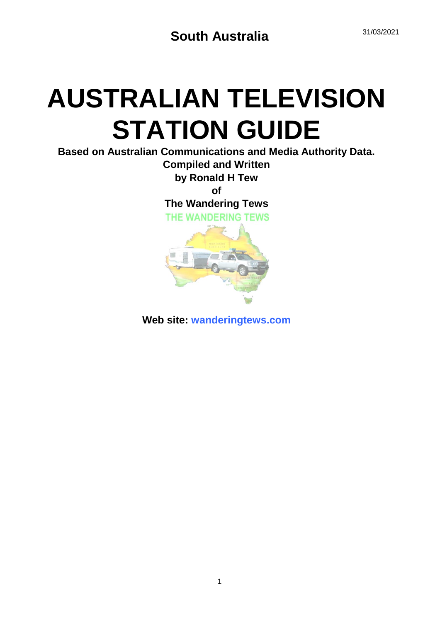# **AUSTRALIAN TELEVISION STATION GUIDE**

**Based on Australian Communications and Media Authority Data. Compiled and Written**

**by Ronald H Tew**

**of**

**The Wandering Tews**





**Web site: wanderingtews.com**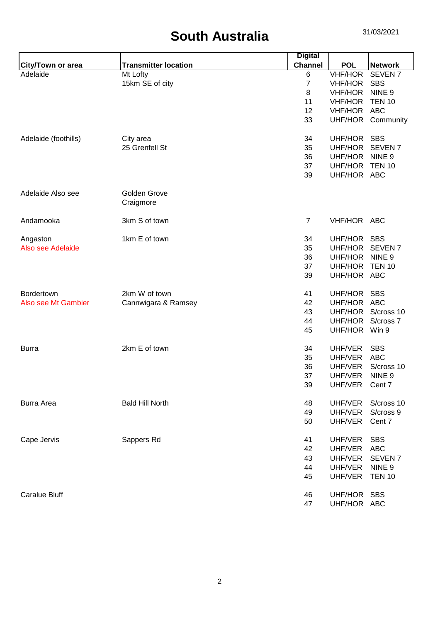|                               |                             | <b>Digital</b> |                |                    |
|-------------------------------|-----------------------------|----------------|----------------|--------------------|
| <b>City/Town or area</b>      | <b>Transmitter location</b> | <b>Channel</b> | <b>POL</b>     | <b>Network</b>     |
| Adelaide                      | Mt Lofty                    | $\,6$          | <b>VHF/HOR</b> | SEVEN <sub>7</sub> |
|                               | 15km SE of city             | $\overline{7}$ | <b>VHF/HOR</b> | <b>SBS</b>         |
|                               |                             | 8              | <b>VHF/HOR</b> | NINE <sub>9</sub>  |
|                               |                             | 11             | <b>VHF/HOR</b> | <b>TEN 10</b>      |
|                               |                             | 12             | <b>VHF/HOR</b> | <b>ABC</b>         |
|                               |                             | 33             | UHF/HOR        | Community          |
| Adelaide (foothills)          | City area                   | 34             | UHF/HOR        | <b>SBS</b>         |
|                               | 25 Grenfell St              | 35             | UHF/HOR        | <b>SEVEN7</b>      |
|                               |                             | 36             | UHF/HOR        | NINE <sub>9</sub>  |
|                               |                             | 37             | UHF/HOR        | <b>TEN 10</b>      |
|                               |                             | 39             | UHF/HOR ABC    |                    |
| Adelaide Also see             | Golden Grove                |                |                |                    |
|                               | Craigmore                   |                |                |                    |
| Andamooka                     | 3km S of town               | $\overline{7}$ | VHF/HOR ABC    |                    |
|                               | 1km E of town               | 34             | UHF/HOR        | <b>SBS</b>         |
| Angaston<br>Also see Adelaide |                             | 35             | UHF/HOR        | <b>SEVEN7</b>      |
|                               |                             | 36             | UHF/HOR        | NINE <sub>9</sub>  |
|                               |                             |                |                | <b>TEN 10</b>      |
|                               |                             | 37             | UHF/HOR        |                    |
|                               |                             | 39             | UHF/HOR ABC    |                    |
| Bordertown                    | 2km W of town               | 41             | UHF/HOR        | <b>SBS</b>         |
| Also see Mt Gambier           | Cannwigara & Ramsey         | 42             | UHF/HOR ABC    |                    |
|                               |                             | 43             | UHF/HOR        | S/cross 10         |
|                               |                             | 44             | UHF/HOR        | S/cross 7          |
|                               |                             | 45             | UHF/HOR        | Win 9              |
| <b>Burra</b>                  | 2km E of town               | 34             | UHF/VER        | <b>SBS</b>         |
|                               |                             | 35             | UHF/VER        | <b>ABC</b>         |
|                               |                             | 36             | UHF/VER        | S/cross 10         |
|                               |                             | 37             | UHF/VER        | NINE <sub>9</sub>  |
|                               |                             | 39             | UHF/VER        | Cent 7             |
| <b>Burra Area</b>             | <b>Bald Hill North</b>      | 48             | UHF/VER        | S/cross 10         |
|                               |                             | 49             | UHF/VER        | S/cross 9          |
|                               |                             | 50             | UHF/VER        | Cent 7             |
| Cape Jervis                   | Sappers Rd                  | 41             | UHF/VER        | <b>SBS</b>         |
|                               |                             | 42             | UHF/VER        | <b>ABC</b>         |
|                               |                             | 43             | UHF/VER        | SEVEN <sub>7</sub> |
|                               |                             | 44             | UHF/VER        | NINE <sub>9</sub>  |
|                               |                             | 45             | UHF/VER        | <b>TEN 10</b>      |
| <b>Caralue Bluff</b>          |                             | 46             | UHF/HOR SBS    |                    |
|                               |                             | 47             | UHF/HOR ABC    |                    |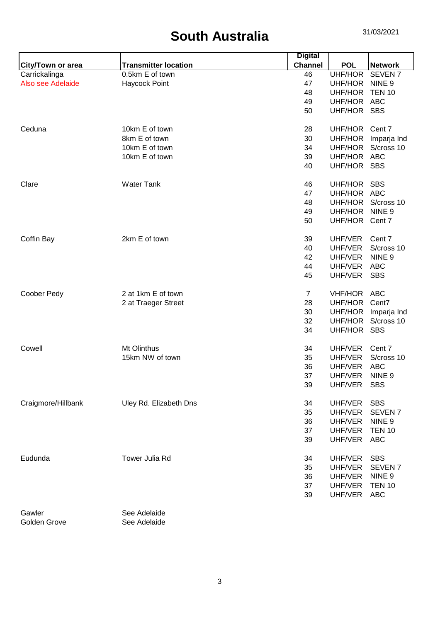|                    |                             | <b>Digital</b> |                |                    |
|--------------------|-----------------------------|----------------|----------------|--------------------|
| City/Town or area  | <b>Transmitter location</b> | <b>Channel</b> | <b>POL</b>     | <b>Network</b>     |
| Carrickalinga      | 0.5km E of town             | 46             | UHF/HOR        | SEVEN <sub>7</sub> |
| Also see Adelaide  | Haycock Point               | 47             | UHF/HOR        | NINE <sub>9</sub>  |
|                    |                             | 48             | UHF/HOR        | <b>TEN 10</b>      |
|                    |                             | 49             | UHF/HOR ABC    |                    |
|                    |                             | 50             | UHF/HOR SBS    |                    |
| Ceduna             | 10km E of town              | 28             | UHF/HOR Cent 7 |                    |
|                    | 8km E of town               | 30             | UHF/HOR        | Imparja Ind        |
|                    | 10km E of town              | 34             | UHF/HOR        | S/cross 10         |
|                    | 10km E of town              | 39             | UHF/HOR ABC    |                    |
|                    |                             | 40             | UHF/HOR SBS    |                    |
| Clare              | <b>Water Tank</b>           | 46             | UHF/HOR SBS    |                    |
|                    |                             | 47             | UHF/HOR ABC    |                    |
|                    |                             | 48             |                | UHF/HOR S/cross 10 |
|                    |                             | 49             | UHF/HOR        | NINE <sub>9</sub>  |
|                    |                             | 50             | UHF/HOR Cent 7 |                    |
| Coffin Bay         | 2km E of town               | 39             | UHF/VER        | Cent 7             |
|                    |                             | 40             | UHF/VER        | S/cross 10         |
|                    |                             | 42             | UHF/VER        | NINE <sub>9</sub>  |
|                    |                             | 44             | UHF/VER        | <b>ABC</b>         |
|                    |                             | 45             | UHF/VER        | <b>SBS</b>         |
| Coober Pedy        | 2 at 1km E of town          | $\overline{7}$ | VHF/HOR ABC    |                    |
|                    | 2 at Traeger Street         | 28             | UHF/HOR        | Cent7              |
|                    |                             | 30             | UHF/HOR        | Imparja Ind        |
|                    |                             | 32             | UHF/HOR        | S/cross 10         |
|                    |                             | 34             | UHF/HOR SBS    |                    |
| Cowell             | Mt Olinthus                 | 34             | UHF/VER        | Cent 7             |
|                    | 15km NW of town             | 35             | UHF/VER        | S/cross 10         |
|                    |                             | 36             | UHF/VER        | <b>ABC</b>         |
|                    |                             | 37             | UHF/VER        | NINE <sub>9</sub>  |
|                    |                             | 39             | UHF/VER        | <b>SBS</b>         |
| Craigmore/Hillbank | Uley Rd. Elizabeth Dns      | 34             | UHF/VER        | <b>SBS</b>         |
|                    |                             | 35             | UHF/VER        | <b>SEVEN7</b>      |
|                    |                             | 36             | UHF/VER        | NINE <sub>9</sub>  |
|                    |                             | 37             | UHF/VER        | <b>TEN 10</b>      |
|                    |                             | 39             | UHF/VER        | <b>ABC</b>         |
| Eudunda            | Tower Julia Rd              | 34             | UHF/VER        | <b>SBS</b>         |
|                    |                             | 35             | UHF/VER        | SEVEN <sub>7</sub> |
|                    |                             | 36             | UHF/VER        | NINE <sub>9</sub>  |
|                    |                             | 37             | UHF/VER        | <b>TEN 10</b>      |
|                    |                             | 39             | UHF/VER        | <b>ABC</b>         |
|                    |                             |                |                |                    |

Gawler<br>Golden Grove See Adelaide See Adelaide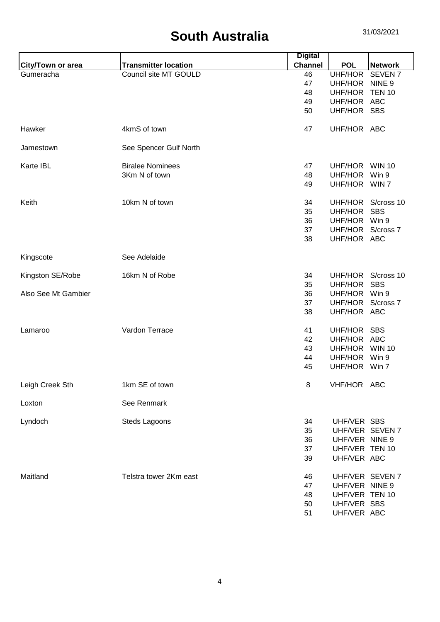| <b>Transmitter location</b><br><b>Channel</b><br><b>POL</b><br><b>Network</b><br>City/Town or area<br>Council site MT GOULD<br>46<br>UHF/HOR<br><b>SEVEN7</b><br>Gumeracha<br>NINE <sub>9</sub><br>47<br>UHF/HOR<br>UHF/HOR<br><b>TEN 10</b><br>48<br>UHF/HOR ABC<br>49<br>UHF/HOR SBS<br>50<br>4kmS of town<br>UHF/HOR ABC<br>Hawker<br>47<br>See Spencer Gulf North<br>Jamestown<br>Karte IBL<br><b>Biralee Nominees</b><br>47<br>UHF/HOR<br><b>WIN 10</b><br>3Km N of town<br>48<br>UHF/HOR<br>Win 9<br>UHF/HOR WIN 7<br>49<br>10km N of town<br>UHF/HOR<br>S/cross 10<br>Keith<br>34<br>UHF/HOR<br><b>SBS</b><br>35<br>UHF/HOR Win 9<br>36<br>UHF/HOR S/cross 7<br>37<br>UHF/HOR ABC<br>38<br>See Adelaide<br>Kingscote<br>16km N of Robe<br>34<br>S/cross 10<br>Kingston SE/Robe<br>UHF/HOR<br>35<br>UHF/HOR<br><b>SBS</b><br>36<br>UHF/HOR Win 9<br>Also See Mt Gambier<br>37<br>UHF/HOR S/cross 7<br>UHF/HOR ABC<br>38<br>Vardon Terrace<br>41<br>UHF/HOR SBS<br>Lamaroo<br>UHF/HOR ABC<br>42<br><b>WIN 10</b><br>43<br>UHF/HOR<br>44<br>UHF/HOR<br>Win 9<br>45<br>UHF/HOR Win 7<br>Leigh Creek Sth<br>1km SE of town<br>VHF/HOR ABC<br>8<br>See Renmark<br>Loxton<br>UHF/VER SBS<br>Lyndoch<br>Steds Lagoons<br>34<br>UHF/VER SEVEN 7<br>35<br>UHF/VER NINE 9<br>36<br>UHF/VER TEN 10<br>37<br>UHF/VER ABC<br>39<br>Maitland<br>Telstra tower 2Km east<br>46<br>UHF/VER SEVEN 7<br>47<br>UHF/VER NINE 9<br>UHF/VER TEN 10<br>48<br>50<br>UHF/VER SBS<br>UHF/VER ABC |  | <b>Digital</b> |  |
|-----------------------------------------------------------------------------------------------------------------------------------------------------------------------------------------------------------------------------------------------------------------------------------------------------------------------------------------------------------------------------------------------------------------------------------------------------------------------------------------------------------------------------------------------------------------------------------------------------------------------------------------------------------------------------------------------------------------------------------------------------------------------------------------------------------------------------------------------------------------------------------------------------------------------------------------------------------------------------------------------------------------------------------------------------------------------------------------------------------------------------------------------------------------------------------------------------------------------------------------------------------------------------------------------------------------------------------------------------------------------------------------------------------------------------------------------------------------------------|--|----------------|--|
|                                                                                                                                                                                                                                                                                                                                                                                                                                                                                                                                                                                                                                                                                                                                                                                                                                                                                                                                                                                                                                                                                                                                                                                                                                                                                                                                                                                                                                                                             |  |                |  |
|                                                                                                                                                                                                                                                                                                                                                                                                                                                                                                                                                                                                                                                                                                                                                                                                                                                                                                                                                                                                                                                                                                                                                                                                                                                                                                                                                                                                                                                                             |  |                |  |
|                                                                                                                                                                                                                                                                                                                                                                                                                                                                                                                                                                                                                                                                                                                                                                                                                                                                                                                                                                                                                                                                                                                                                                                                                                                                                                                                                                                                                                                                             |  |                |  |
|                                                                                                                                                                                                                                                                                                                                                                                                                                                                                                                                                                                                                                                                                                                                                                                                                                                                                                                                                                                                                                                                                                                                                                                                                                                                                                                                                                                                                                                                             |  |                |  |
|                                                                                                                                                                                                                                                                                                                                                                                                                                                                                                                                                                                                                                                                                                                                                                                                                                                                                                                                                                                                                                                                                                                                                                                                                                                                                                                                                                                                                                                                             |  |                |  |
|                                                                                                                                                                                                                                                                                                                                                                                                                                                                                                                                                                                                                                                                                                                                                                                                                                                                                                                                                                                                                                                                                                                                                                                                                                                                                                                                                                                                                                                                             |  |                |  |
|                                                                                                                                                                                                                                                                                                                                                                                                                                                                                                                                                                                                                                                                                                                                                                                                                                                                                                                                                                                                                                                                                                                                                                                                                                                                                                                                                                                                                                                                             |  |                |  |
|                                                                                                                                                                                                                                                                                                                                                                                                                                                                                                                                                                                                                                                                                                                                                                                                                                                                                                                                                                                                                                                                                                                                                                                                                                                                                                                                                                                                                                                                             |  |                |  |
|                                                                                                                                                                                                                                                                                                                                                                                                                                                                                                                                                                                                                                                                                                                                                                                                                                                                                                                                                                                                                                                                                                                                                                                                                                                                                                                                                                                                                                                                             |  |                |  |
|                                                                                                                                                                                                                                                                                                                                                                                                                                                                                                                                                                                                                                                                                                                                                                                                                                                                                                                                                                                                                                                                                                                                                                                                                                                                                                                                                                                                                                                                             |  |                |  |
|                                                                                                                                                                                                                                                                                                                                                                                                                                                                                                                                                                                                                                                                                                                                                                                                                                                                                                                                                                                                                                                                                                                                                                                                                                                                                                                                                                                                                                                                             |  |                |  |
|                                                                                                                                                                                                                                                                                                                                                                                                                                                                                                                                                                                                                                                                                                                                                                                                                                                                                                                                                                                                                                                                                                                                                                                                                                                                                                                                                                                                                                                                             |  |                |  |
|                                                                                                                                                                                                                                                                                                                                                                                                                                                                                                                                                                                                                                                                                                                                                                                                                                                                                                                                                                                                                                                                                                                                                                                                                                                                                                                                                                                                                                                                             |  |                |  |
|                                                                                                                                                                                                                                                                                                                                                                                                                                                                                                                                                                                                                                                                                                                                                                                                                                                                                                                                                                                                                                                                                                                                                                                                                                                                                                                                                                                                                                                                             |  |                |  |
|                                                                                                                                                                                                                                                                                                                                                                                                                                                                                                                                                                                                                                                                                                                                                                                                                                                                                                                                                                                                                                                                                                                                                                                                                                                                                                                                                                                                                                                                             |  |                |  |
|                                                                                                                                                                                                                                                                                                                                                                                                                                                                                                                                                                                                                                                                                                                                                                                                                                                                                                                                                                                                                                                                                                                                                                                                                                                                                                                                                                                                                                                                             |  |                |  |
|                                                                                                                                                                                                                                                                                                                                                                                                                                                                                                                                                                                                                                                                                                                                                                                                                                                                                                                                                                                                                                                                                                                                                                                                                                                                                                                                                                                                                                                                             |  |                |  |
|                                                                                                                                                                                                                                                                                                                                                                                                                                                                                                                                                                                                                                                                                                                                                                                                                                                                                                                                                                                                                                                                                                                                                                                                                                                                                                                                                                                                                                                                             |  |                |  |
|                                                                                                                                                                                                                                                                                                                                                                                                                                                                                                                                                                                                                                                                                                                                                                                                                                                                                                                                                                                                                                                                                                                                                                                                                                                                                                                                                                                                                                                                             |  |                |  |
|                                                                                                                                                                                                                                                                                                                                                                                                                                                                                                                                                                                                                                                                                                                                                                                                                                                                                                                                                                                                                                                                                                                                                                                                                                                                                                                                                                                                                                                                             |  |                |  |
|                                                                                                                                                                                                                                                                                                                                                                                                                                                                                                                                                                                                                                                                                                                                                                                                                                                                                                                                                                                                                                                                                                                                                                                                                                                                                                                                                                                                                                                                             |  |                |  |
|                                                                                                                                                                                                                                                                                                                                                                                                                                                                                                                                                                                                                                                                                                                                                                                                                                                                                                                                                                                                                                                                                                                                                                                                                                                                                                                                                                                                                                                                             |  |                |  |
|                                                                                                                                                                                                                                                                                                                                                                                                                                                                                                                                                                                                                                                                                                                                                                                                                                                                                                                                                                                                                                                                                                                                                                                                                                                                                                                                                                                                                                                                             |  |                |  |
|                                                                                                                                                                                                                                                                                                                                                                                                                                                                                                                                                                                                                                                                                                                                                                                                                                                                                                                                                                                                                                                                                                                                                                                                                                                                                                                                                                                                                                                                             |  |                |  |
|                                                                                                                                                                                                                                                                                                                                                                                                                                                                                                                                                                                                                                                                                                                                                                                                                                                                                                                                                                                                                                                                                                                                                                                                                                                                                                                                                                                                                                                                             |  |                |  |
|                                                                                                                                                                                                                                                                                                                                                                                                                                                                                                                                                                                                                                                                                                                                                                                                                                                                                                                                                                                                                                                                                                                                                                                                                                                                                                                                                                                                                                                                             |  |                |  |
|                                                                                                                                                                                                                                                                                                                                                                                                                                                                                                                                                                                                                                                                                                                                                                                                                                                                                                                                                                                                                                                                                                                                                                                                                                                                                                                                                                                                                                                                             |  |                |  |
|                                                                                                                                                                                                                                                                                                                                                                                                                                                                                                                                                                                                                                                                                                                                                                                                                                                                                                                                                                                                                                                                                                                                                                                                                                                                                                                                                                                                                                                                             |  |                |  |
|                                                                                                                                                                                                                                                                                                                                                                                                                                                                                                                                                                                                                                                                                                                                                                                                                                                                                                                                                                                                                                                                                                                                                                                                                                                                                                                                                                                                                                                                             |  |                |  |
|                                                                                                                                                                                                                                                                                                                                                                                                                                                                                                                                                                                                                                                                                                                                                                                                                                                                                                                                                                                                                                                                                                                                                                                                                                                                                                                                                                                                                                                                             |  |                |  |
|                                                                                                                                                                                                                                                                                                                                                                                                                                                                                                                                                                                                                                                                                                                                                                                                                                                                                                                                                                                                                                                                                                                                                                                                                                                                                                                                                                                                                                                                             |  |                |  |
|                                                                                                                                                                                                                                                                                                                                                                                                                                                                                                                                                                                                                                                                                                                                                                                                                                                                                                                                                                                                                                                                                                                                                                                                                                                                                                                                                                                                                                                                             |  |                |  |
|                                                                                                                                                                                                                                                                                                                                                                                                                                                                                                                                                                                                                                                                                                                                                                                                                                                                                                                                                                                                                                                                                                                                                                                                                                                                                                                                                                                                                                                                             |  |                |  |
|                                                                                                                                                                                                                                                                                                                                                                                                                                                                                                                                                                                                                                                                                                                                                                                                                                                                                                                                                                                                                                                                                                                                                                                                                                                                                                                                                                                                                                                                             |  |                |  |
|                                                                                                                                                                                                                                                                                                                                                                                                                                                                                                                                                                                                                                                                                                                                                                                                                                                                                                                                                                                                                                                                                                                                                                                                                                                                                                                                                                                                                                                                             |  |                |  |
|                                                                                                                                                                                                                                                                                                                                                                                                                                                                                                                                                                                                                                                                                                                                                                                                                                                                                                                                                                                                                                                                                                                                                                                                                                                                                                                                                                                                                                                                             |  |                |  |
|                                                                                                                                                                                                                                                                                                                                                                                                                                                                                                                                                                                                                                                                                                                                                                                                                                                                                                                                                                                                                                                                                                                                                                                                                                                                                                                                                                                                                                                                             |  |                |  |
|                                                                                                                                                                                                                                                                                                                                                                                                                                                                                                                                                                                                                                                                                                                                                                                                                                                                                                                                                                                                                                                                                                                                                                                                                                                                                                                                                                                                                                                                             |  |                |  |
|                                                                                                                                                                                                                                                                                                                                                                                                                                                                                                                                                                                                                                                                                                                                                                                                                                                                                                                                                                                                                                                                                                                                                                                                                                                                                                                                                                                                                                                                             |  |                |  |
|                                                                                                                                                                                                                                                                                                                                                                                                                                                                                                                                                                                                                                                                                                                                                                                                                                                                                                                                                                                                                                                                                                                                                                                                                                                                                                                                                                                                                                                                             |  | 51             |  |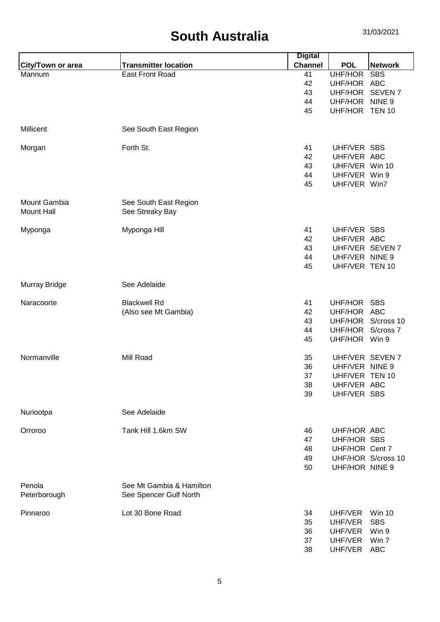| <b>Channel</b><br><b>Transmitter location</b><br><b>POL</b><br><b>Network</b><br><b>City/Town or area</b><br><b>East Front Road</b><br>41<br>UHF/HOR<br><b>SBS</b><br>Mannum<br>42<br>UHF/HOR ABC<br>SEVEN <sub>7</sub><br>43<br>UHF/HOR<br>UHF/HOR NINE 9<br>44<br>45<br>UHF/HOR TEN 10<br>Millicent<br>See South East Region<br>Forth St.<br>UHF/VER SBS<br>41<br>Morgan<br>42<br>UHF/VER ABC<br>UHF/VER Win 10<br>43<br>44<br>UHF/VER Win 9<br>45<br>UHF/VER Win7<br>Mount Gambia<br>See South East Region<br><b>Mount Hall</b><br>See Streaky Bay<br>UHF/VER SBS<br>Myponga Hill<br>41<br>Myponga<br>UHF/VER ABC<br>42<br>UHF/VER SEVEN 7<br>43<br>UHF/VER NINE 9<br>44<br>45<br>UHF/VER TEN 10<br>See Adelaide<br>Murray Bridge<br>Naracoorte<br><b>Blackwell Rd</b><br>41<br>UHF/HOR SBS<br>(Also see Mt Gambia)<br>42<br>UHF/HOR ABC<br>UHF/HOR S/cross 10<br>43<br>44<br>UHF/HOR S/cross 7<br>UHF/HOR Win 9<br>45<br>Normanville<br>Mill Road<br>35<br>UHF/VER SEVEN 7<br>36<br>UHF/VER NINE 9<br>37<br>UHF/VER TEN 10<br>38<br>UHF/VER ABC<br>UHF/VER SBS<br>39<br>See Adelaide<br>Nuriootpa<br>Tank Hill 1.6km SW<br>Orroroo<br>46<br>UHF/HOR ABC<br>UHF/HOR SBS<br>47<br>UHF/HOR Cent 7<br>48<br>UHF/HOR S/cross 10<br>49<br>UHF/HOR NINE 9<br>50<br>Penola<br>See Mt Gambia & Hamilton<br>Peterborough<br>See Spencer Gulf North<br>Lot 30 Bone Road<br>Pinnaroo<br>34<br>UHF/VER<br><b>Win 10</b><br>UHF/VER<br><b>SBS</b><br>35<br>36<br>UHF/VER<br>Win 9<br>UHF/VER<br>37<br>Win 7<br>UHF/VER ABC<br>38 |  | <b>Digital</b> |  |
|------------------------------------------------------------------------------------------------------------------------------------------------------------------------------------------------------------------------------------------------------------------------------------------------------------------------------------------------------------------------------------------------------------------------------------------------------------------------------------------------------------------------------------------------------------------------------------------------------------------------------------------------------------------------------------------------------------------------------------------------------------------------------------------------------------------------------------------------------------------------------------------------------------------------------------------------------------------------------------------------------------------------------------------------------------------------------------------------------------------------------------------------------------------------------------------------------------------------------------------------------------------------------------------------------------------------------------------------------------------------------------------------------------------------------------------------------------------------------------------------------------------------|--|----------------|--|
|                                                                                                                                                                                                                                                                                                                                                                                                                                                                                                                                                                                                                                                                                                                                                                                                                                                                                                                                                                                                                                                                                                                                                                                                                                                                                                                                                                                                                                                                                                                        |  |                |  |
|                                                                                                                                                                                                                                                                                                                                                                                                                                                                                                                                                                                                                                                                                                                                                                                                                                                                                                                                                                                                                                                                                                                                                                                                                                                                                                                                                                                                                                                                                                                        |  |                |  |
|                                                                                                                                                                                                                                                                                                                                                                                                                                                                                                                                                                                                                                                                                                                                                                                                                                                                                                                                                                                                                                                                                                                                                                                                                                                                                                                                                                                                                                                                                                                        |  |                |  |
|                                                                                                                                                                                                                                                                                                                                                                                                                                                                                                                                                                                                                                                                                                                                                                                                                                                                                                                                                                                                                                                                                                                                                                                                                                                                                                                                                                                                                                                                                                                        |  |                |  |
|                                                                                                                                                                                                                                                                                                                                                                                                                                                                                                                                                                                                                                                                                                                                                                                                                                                                                                                                                                                                                                                                                                                                                                                                                                                                                                                                                                                                                                                                                                                        |  |                |  |
|                                                                                                                                                                                                                                                                                                                                                                                                                                                                                                                                                                                                                                                                                                                                                                                                                                                                                                                                                                                                                                                                                                                                                                                                                                                                                                                                                                                                                                                                                                                        |  |                |  |
|                                                                                                                                                                                                                                                                                                                                                                                                                                                                                                                                                                                                                                                                                                                                                                                                                                                                                                                                                                                                                                                                                                                                                                                                                                                                                                                                                                                                                                                                                                                        |  |                |  |
|                                                                                                                                                                                                                                                                                                                                                                                                                                                                                                                                                                                                                                                                                                                                                                                                                                                                                                                                                                                                                                                                                                                                                                                                                                                                                                                                                                                                                                                                                                                        |  |                |  |
|                                                                                                                                                                                                                                                                                                                                                                                                                                                                                                                                                                                                                                                                                                                                                                                                                                                                                                                                                                                                                                                                                                                                                                                                                                                                                                                                                                                                                                                                                                                        |  |                |  |
|                                                                                                                                                                                                                                                                                                                                                                                                                                                                                                                                                                                                                                                                                                                                                                                                                                                                                                                                                                                                                                                                                                                                                                                                                                                                                                                                                                                                                                                                                                                        |  |                |  |
|                                                                                                                                                                                                                                                                                                                                                                                                                                                                                                                                                                                                                                                                                                                                                                                                                                                                                                                                                                                                                                                                                                                                                                                                                                                                                                                                                                                                                                                                                                                        |  |                |  |
|                                                                                                                                                                                                                                                                                                                                                                                                                                                                                                                                                                                                                                                                                                                                                                                                                                                                                                                                                                                                                                                                                                                                                                                                                                                                                                                                                                                                                                                                                                                        |  |                |  |
|                                                                                                                                                                                                                                                                                                                                                                                                                                                                                                                                                                                                                                                                                                                                                                                                                                                                                                                                                                                                                                                                                                                                                                                                                                                                                                                                                                                                                                                                                                                        |  |                |  |
|                                                                                                                                                                                                                                                                                                                                                                                                                                                                                                                                                                                                                                                                                                                                                                                                                                                                                                                                                                                                                                                                                                                                                                                                                                                                                                                                                                                                                                                                                                                        |  |                |  |
|                                                                                                                                                                                                                                                                                                                                                                                                                                                                                                                                                                                                                                                                                                                                                                                                                                                                                                                                                                                                                                                                                                                                                                                                                                                                                                                                                                                                                                                                                                                        |  |                |  |
|                                                                                                                                                                                                                                                                                                                                                                                                                                                                                                                                                                                                                                                                                                                                                                                                                                                                                                                                                                                                                                                                                                                                                                                                                                                                                                                                                                                                                                                                                                                        |  |                |  |
|                                                                                                                                                                                                                                                                                                                                                                                                                                                                                                                                                                                                                                                                                                                                                                                                                                                                                                                                                                                                                                                                                                                                                                                                                                                                                                                                                                                                                                                                                                                        |  |                |  |
|                                                                                                                                                                                                                                                                                                                                                                                                                                                                                                                                                                                                                                                                                                                                                                                                                                                                                                                                                                                                                                                                                                                                                                                                                                                                                                                                                                                                                                                                                                                        |  |                |  |
|                                                                                                                                                                                                                                                                                                                                                                                                                                                                                                                                                                                                                                                                                                                                                                                                                                                                                                                                                                                                                                                                                                                                                                                                                                                                                                                                                                                                                                                                                                                        |  |                |  |
|                                                                                                                                                                                                                                                                                                                                                                                                                                                                                                                                                                                                                                                                                                                                                                                                                                                                                                                                                                                                                                                                                                                                                                                                                                                                                                                                                                                                                                                                                                                        |  |                |  |
|                                                                                                                                                                                                                                                                                                                                                                                                                                                                                                                                                                                                                                                                                                                                                                                                                                                                                                                                                                                                                                                                                                                                                                                                                                                                                                                                                                                                                                                                                                                        |  |                |  |
|                                                                                                                                                                                                                                                                                                                                                                                                                                                                                                                                                                                                                                                                                                                                                                                                                                                                                                                                                                                                                                                                                                                                                                                                                                                                                                                                                                                                                                                                                                                        |  |                |  |
|                                                                                                                                                                                                                                                                                                                                                                                                                                                                                                                                                                                                                                                                                                                                                                                                                                                                                                                                                                                                                                                                                                                                                                                                                                                                                                                                                                                                                                                                                                                        |  |                |  |
|                                                                                                                                                                                                                                                                                                                                                                                                                                                                                                                                                                                                                                                                                                                                                                                                                                                                                                                                                                                                                                                                                                                                                                                                                                                                                                                                                                                                                                                                                                                        |  |                |  |
|                                                                                                                                                                                                                                                                                                                                                                                                                                                                                                                                                                                                                                                                                                                                                                                                                                                                                                                                                                                                                                                                                                                                                                                                                                                                                                                                                                                                                                                                                                                        |  |                |  |
|                                                                                                                                                                                                                                                                                                                                                                                                                                                                                                                                                                                                                                                                                                                                                                                                                                                                                                                                                                                                                                                                                                                                                                                                                                                                                                                                                                                                                                                                                                                        |  |                |  |
|                                                                                                                                                                                                                                                                                                                                                                                                                                                                                                                                                                                                                                                                                                                                                                                                                                                                                                                                                                                                                                                                                                                                                                                                                                                                                                                                                                                                                                                                                                                        |  |                |  |
|                                                                                                                                                                                                                                                                                                                                                                                                                                                                                                                                                                                                                                                                                                                                                                                                                                                                                                                                                                                                                                                                                                                                                                                                                                                                                                                                                                                                                                                                                                                        |  |                |  |
|                                                                                                                                                                                                                                                                                                                                                                                                                                                                                                                                                                                                                                                                                                                                                                                                                                                                                                                                                                                                                                                                                                                                                                                                                                                                                                                                                                                                                                                                                                                        |  |                |  |
|                                                                                                                                                                                                                                                                                                                                                                                                                                                                                                                                                                                                                                                                                                                                                                                                                                                                                                                                                                                                                                                                                                                                                                                                                                                                                                                                                                                                                                                                                                                        |  |                |  |
|                                                                                                                                                                                                                                                                                                                                                                                                                                                                                                                                                                                                                                                                                                                                                                                                                                                                                                                                                                                                                                                                                                                                                                                                                                                                                                                                                                                                                                                                                                                        |  |                |  |
|                                                                                                                                                                                                                                                                                                                                                                                                                                                                                                                                                                                                                                                                                                                                                                                                                                                                                                                                                                                                                                                                                                                                                                                                                                                                                                                                                                                                                                                                                                                        |  |                |  |
|                                                                                                                                                                                                                                                                                                                                                                                                                                                                                                                                                                                                                                                                                                                                                                                                                                                                                                                                                                                                                                                                                                                                                                                                                                                                                                                                                                                                                                                                                                                        |  |                |  |
|                                                                                                                                                                                                                                                                                                                                                                                                                                                                                                                                                                                                                                                                                                                                                                                                                                                                                                                                                                                                                                                                                                                                                                                                                                                                                                                                                                                                                                                                                                                        |  |                |  |
|                                                                                                                                                                                                                                                                                                                                                                                                                                                                                                                                                                                                                                                                                                                                                                                                                                                                                                                                                                                                                                                                                                                                                                                                                                                                                                                                                                                                                                                                                                                        |  |                |  |
|                                                                                                                                                                                                                                                                                                                                                                                                                                                                                                                                                                                                                                                                                                                                                                                                                                                                                                                                                                                                                                                                                                                                                                                                                                                                                                                                                                                                                                                                                                                        |  |                |  |
|                                                                                                                                                                                                                                                                                                                                                                                                                                                                                                                                                                                                                                                                                                                                                                                                                                                                                                                                                                                                                                                                                                                                                                                                                                                                                                                                                                                                                                                                                                                        |  |                |  |
|                                                                                                                                                                                                                                                                                                                                                                                                                                                                                                                                                                                                                                                                                                                                                                                                                                                                                                                                                                                                                                                                                                                                                                                                                                                                                                                                                                                                                                                                                                                        |  |                |  |
|                                                                                                                                                                                                                                                                                                                                                                                                                                                                                                                                                                                                                                                                                                                                                                                                                                                                                                                                                                                                                                                                                                                                                                                                                                                                                                                                                                                                                                                                                                                        |  |                |  |
|                                                                                                                                                                                                                                                                                                                                                                                                                                                                                                                                                                                                                                                                                                                                                                                                                                                                                                                                                                                                                                                                                                                                                                                                                                                                                                                                                                                                                                                                                                                        |  |                |  |
|                                                                                                                                                                                                                                                                                                                                                                                                                                                                                                                                                                                                                                                                                                                                                                                                                                                                                                                                                                                                                                                                                                                                                                                                                                                                                                                                                                                                                                                                                                                        |  |                |  |
|                                                                                                                                                                                                                                                                                                                                                                                                                                                                                                                                                                                                                                                                                                                                                                                                                                                                                                                                                                                                                                                                                                                                                                                                                                                                                                                                                                                                                                                                                                                        |  |                |  |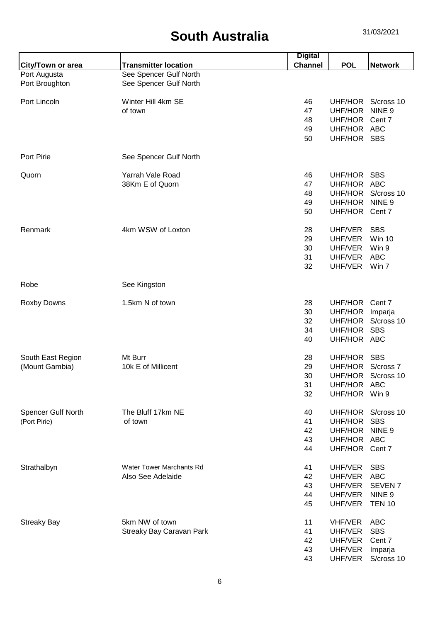|                    |                                 | <b>Digital</b> |                |                    |
|--------------------|---------------------------------|----------------|----------------|--------------------|
| City/Town or area  | <b>Transmitter location</b>     | <b>Channel</b> | <b>POL</b>     | <b>Network</b>     |
| Port Augusta       | See Spencer Gulf North          |                |                |                    |
| Port Broughton     | See Spencer Gulf North          |                |                |                    |
|                    |                                 |                |                |                    |
| Port Lincoln       | Winter Hill 4km SE              | 46             |                | UHF/HOR S/cross 10 |
|                    | of town                         | 47             | UHF/HOR        | NINE <sub>9</sub>  |
|                    |                                 | 48             | UHF/HOR Cent 7 |                    |
|                    |                                 | 49             | UHF/HOR ABC    |                    |
|                    |                                 | 50             | UHF/HOR SBS    |                    |
| <b>Port Pirie</b>  | See Spencer Gulf North          |                |                |                    |
|                    | Yarrah Vale Road                |                |                |                    |
| Quorn              |                                 | 46             | UHF/HOR SBS    |                    |
|                    | 38Km E of Quorn                 | 47             | UHF/HOR ABC    |                    |
|                    |                                 | 48             |                | UHF/HOR S/cross 10 |
|                    |                                 | 49             | UHF/HOR        | NINE <sub>9</sub>  |
|                    |                                 | 50             | UHF/HOR Cent 7 |                    |
| Renmark            | 4km WSW of Loxton               | 28             | UHF/VER        | <b>SBS</b>         |
|                    |                                 | 29             | UHF/VER        | <b>Win 10</b>      |
|                    |                                 | 30             | UHF/VER        | Win 9              |
|                    |                                 | 31             | UHF/VER        | <b>ABC</b>         |
|                    |                                 | 32             | UHF/VER        | Win 7              |
|                    |                                 |                |                |                    |
| Robe               | See Kingston                    |                |                |                    |
| <b>Roxby Downs</b> | 1.5km N of town                 | 28             | UHF/HOR        | Cent 7             |
|                    |                                 | 30             | UHF/HOR        | Imparja            |
|                    |                                 | 32             | UHF/HOR        | S/cross 10         |
|                    |                                 | 34             | UHF/HOR        | <b>SBS</b>         |
|                    |                                 | 40             | UHF/HOR ABC    |                    |
|                    |                                 |                |                |                    |
| South East Region  | Mt Burr                         | 28             | UHF/HOR SBS    |                    |
| (Mount Gambia)     | 10k E of Millicent              | 29             | UHF/HOR        | S/cross 7          |
|                    |                                 | 30             | UHF/HOR        | S/cross 10         |
|                    |                                 | 31             | UHF/HOR ABC    |                    |
|                    |                                 | 32             | UHF/HOR        | Win 9              |
|                    |                                 |                |                |                    |
| Spencer Gulf North | The Bluff 17km NE               | 40             | UHF/HOR        | S/cross 10         |
| (Port Pirie)       | of town                         | 41             | UHF/HOR        | <b>SBS</b>         |
|                    |                                 | 42             | UHF/HOR        | NINE <sub>9</sub>  |
|                    |                                 | 43             | UHF/HOR ABC    |                    |
|                    |                                 | 44             | UHF/HOR Cent 7 |                    |
|                    |                                 |                |                |                    |
| Strathalbyn        | <b>Water Tower Marchants Rd</b> | 41             | UHF/VER        | <b>SBS</b>         |
|                    | Also See Adelaide               | 42             | UHF/VER        | <b>ABC</b>         |
|                    |                                 | 43             | UHF/VER        | <b>SEVEN7</b>      |
|                    |                                 | 44             | UHF/VER        | NINE <sub>9</sub>  |
|                    |                                 | 45             | UHF/VER        | <b>TEN 10</b>      |
| <b>Streaky Bay</b> | 5km NW of town                  | 11             | <b>VHF/VER</b> | <b>ABC</b>         |
|                    | Streaky Bay Caravan Park        | 41             | UHF/VER        | <b>SBS</b>         |
|                    |                                 | 42             | UHF/VER        | Cent 7             |
|                    |                                 | 43             | UHF/VER        | Imparja            |
|                    |                                 | 43             | UHF/VER        | S/cross 10         |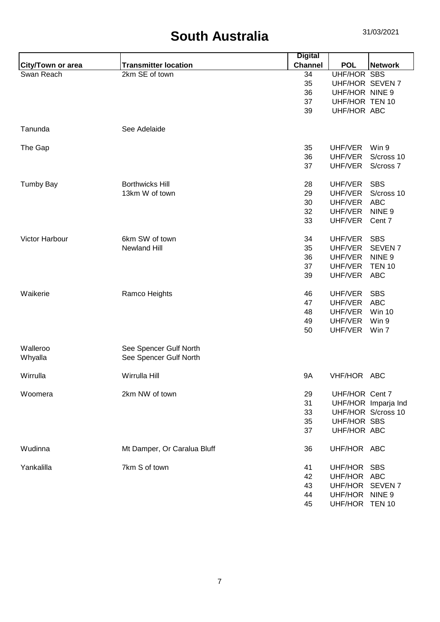|                   |                             | <b>Digital</b> |                    |                     |
|-------------------|-----------------------------|----------------|--------------------|---------------------|
| City/Town or area | <b>Transmitter location</b> | <b>Channel</b> | <b>POL</b>         | <b>Network</b>      |
| Swan Reach        | 2km SE of town              | 34             | <b>UHF/HOR SBS</b> |                     |
|                   |                             | 35             | UHF/HOR SEVEN 7    |                     |
|                   |                             | 36             | UHF/HOR NINE 9     |                     |
|                   |                             | 37             | UHF/HOR TEN 10     |                     |
|                   |                             | 39             | UHF/HOR ABC        |                     |
| Tanunda           | See Adelaide                |                |                    |                     |
| The Gap           |                             | 35             | UHF/VER            | Win 9               |
|                   |                             | 36             | UHF/VER            | S/cross 10          |
|                   |                             | 37             | UHF/VER            | S/cross 7           |
| <b>Tumby Bay</b>  | <b>Borthwicks Hill</b>      | 28             | UHF/VER            | <b>SBS</b>          |
|                   | 13km W of town              | 29             | UHF/VER            | S/cross 10          |
|                   |                             | 30             | UHF/VER            | <b>ABC</b>          |
|                   |                             | 32             | UHF/VER            | NINE <sub>9</sub>   |
|                   |                             | 33             | UHF/VER            | Cent 7              |
|                   |                             |                |                    |                     |
| Victor Harbour    | 6km SW of town              | 34             | UHF/VER            | <b>SBS</b>          |
|                   | <b>Newland Hill</b>         | 35             | UHF/VER            | SEVEN <sub>7</sub>  |
|                   |                             | 36             | UHF/VER            | NINE <sub>9</sub>   |
|                   |                             | 37             | UHF/VER            | <b>TEN 10</b>       |
|                   |                             | 39             | UHF/VER            | <b>ABC</b>          |
| Waikerie          | Ramco Heights               | 46             | UHF/VER            | <b>SBS</b>          |
|                   |                             | 47             | UHF/VER            | <b>ABC</b>          |
|                   |                             | 48             | UHF/VER            | <b>Win 10</b>       |
|                   |                             | 49             | UHF/VER            | Win 9               |
|                   |                             | 50             | UHF/VER            | Win 7               |
| Walleroo          | See Spencer Gulf North      |                |                    |                     |
| Whyalla           | See Spencer Gulf North      |                |                    |                     |
| Wirrulla          | Wirrulla Hill               | <b>9A</b>      | VHF/HOR ABC        |                     |
| Woomera           | 2km NW of town              | 29             | UHF/HOR Cent 7     |                     |
|                   |                             | 31             |                    | UHF/HOR Imparja Ind |
|                   |                             | 33             |                    | UHF/HOR S/cross 10  |
|                   |                             | 35             | <b>UHF/HOR SBS</b> |                     |
|                   |                             | 37             | UHF/HOR ABC        |                     |
| Wudinna           | Mt Damper, Or Caralua Bluff | 36             | UHF/HOR ABC        |                     |
| Yankalilla        | 7km S of town               | 41             | UHF/HOR SBS        |                     |
|                   |                             | 42             | UHF/HOR ABC        |                     |
|                   |                             | 43             | UHF/HOR SEVEN 7    |                     |
|                   |                             | 44             | UHF/HOR NINE 9     |                     |
|                   |                             | 45             | UHF/HOR TEN 10     |                     |
|                   |                             |                |                    |                     |